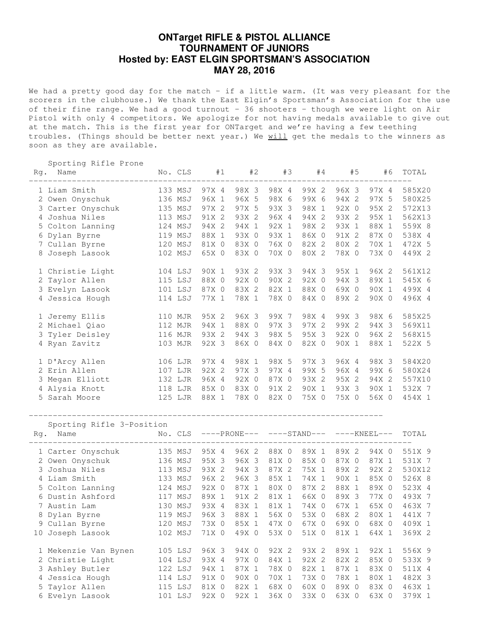## **ONTarget RIFLE & PISTOL ALLIANCE TOURNAMENT OF JUNIORS Hosted by: EAST ELGIN SPORTSMAN'S ASSOCIATION MAY 28, 2016**

We had a pretty good day for the match - if a little warm. (It was very pleasant for the scorers in the clubhouse.) We thank the East Elgin's Sportsman's Association for the use of their fine range. We had a good turnout - 36 shooters - though we were light on Air Pistol with only 4 competitors. We apologize for not having medals available to give out at the match. This is the first year for ONTarget and we're having a few teething troubles. (Things should be better next year.) We will get the medals to the winners as soon as they are available.

Sporting Rifle Prone

| Rg. | Name                      | No. CLS |         | #1            | #2    | #3            | #4    | #5            | #6    | TOTAL  |
|-----|---------------------------|---------|---------|---------------|-------|---------------|-------|---------------|-------|--------|
|     | 1 Liam Smith              | 133 MSJ |         | 97X 4         | 98X 3 | 98X 4         | 99X 2 | 96X 3         | 97X 4 | 585X20 |
|     | 2 Owen Onyschuk           | 136 MSJ |         | 96X 1         | 96X 5 | 98X 6         | 99X 6 | 94X 2         | 97X 5 | 580X25 |
|     | 3 Carter Onyschuk         | 135 MSJ |         | 97X 2         | 97X 5 | 93X 3         | 98X 1 | 92X 0         | 95X 2 | 572X13 |
|     | 4 Joshua Niles            | 113 MSJ |         | 91X 2         | 93X 2 | 96X 4         | 94X 2 | 93X 2         | 95X 1 | 562X13 |
|     | 5 Colton Lanning          | 124 MSJ |         | 94X 2         | 94X 1 | 92X 1         | 98X 2 | 93X 1         | 88X 1 | 559X 8 |
|     | 6 Dylan Byrne             | 119 MSJ |         | 88X 1         | 93X 0 | 93X 1         | 86X 0 | 91X 2         | 87X 0 | 538X 4 |
|     | 7 Cullan Byrne            | 120 MSJ |         | 81X 0         | 83X 0 | 76X 0         | 82X 2 | 80X 2         | 70X 1 | 472X 5 |
|     | 8 Joseph Lasook           | 102 MSJ |         | 65X 0         | 83X 0 | 70X 0         | 80X 2 | 78X 0         | 73X 0 | 449X 2 |
|     | 1 Christie Light          | 104 LSJ |         | 90X 1         | 93X 2 | 93X 3         | 94X 3 | 95X 1         | 96X 2 | 561X12 |
|     | 2 Taylor Allen            | 115 LSJ |         | 88X 0         | 92X 0 | 90X 2         | 92X 0 | 94X 3         | 89X 1 | 545X 6 |
|     | 3 Evelyn Lasook           | 101 LSJ |         | 87X 0         | 83X 2 | 82X 1         | 88X 0 | 69X 0         | 90X 1 | 499X 4 |
|     | 4 Jessica Hough           | 114 LSJ |         | 77X 1         | 78X 1 | 78X 0         | 84X 0 | 89X 2         | 90X 0 | 496X 4 |
|     | 1 Jeremy Ellis            | 110 MJR |         | 95X 2         | 96X 3 | 99X 7         | 98X 4 | 99X 3         | 98X 6 | 585X25 |
|     | 2 Michael Qiao            | 112 MJR |         | 94X 1         | 88X 0 | 97X 3         | 97X 2 | 99X 2         | 94X 3 | 569X11 |
|     | 3 Tyler Deisley           | 116 MJR |         | 93X 2         | 94X 3 | 98X 5         | 95X 3 | 92X 0         | 96X 2 | 568X15 |
|     | 4 Ryan Zavitz             | 103 MJR |         | 92X 3         | 86X 0 | 84X 0         | 82X 0 | 90X 1         | 88X 1 | 522X 5 |
|     | 1 D'Arcy Allen            | 106 LJR |         | 97X 4         | 98X 1 | 98X 5         | 97X 3 | 96X 4         | 98X 3 | 584X20 |
|     | 2 Erin Allen              | 107 LJR |         | 92X 2         | 97X 3 | 97X 4         | 99X 5 | 96X 4         | 99X 6 | 580X24 |
|     | 3 Megan Elliott           | 132 LJR |         | 96X 4         | 92X 0 | 87X 0         | 93X 2 | 95X 2         | 94X 2 | 557X10 |
|     | 4 Alysia Knott            | 118 LJR |         | 85X 0         | 83X 0 | 91X 2         | 90X 1 | 93X 3         | 90X 1 | 532X 7 |
|     | 5 Sarah Moore             | 125 LJR |         | 88X 1         | 78X 0 | 82X 0         | 75X 0 | 75X 0         | 56X 0 | 454X 1 |
|     | Sporting Rifle 3-Position |         |         |               |       |               |       |               |       |        |
| Rg. | Name                      |         | No. CLS | $---PRONE---$ |       | $---STAND---$ |       | $---KNEEL---$ | TOTAL |        |
|     | 1 Carter Onyschuk         | 135 MSJ |         | 95X 4         | 96X 2 | 88X 0         | 89X 1 | 89X 2         | 94X 0 | 551X 9 |
|     | 2 Owen Onyschuk           | 136 MSJ |         | 95X 3         | 96X 3 | 81X 0         | 85X 0 | 87X 0         | 87X 1 | 531X 7 |
|     | 3 Joshua Niles            | 113 MSJ |         | 93X 2         | 94X 3 | 87X 2         | 75X 1 | 89X 2         | 92X 2 | 530X12 |
|     | 4 Liam Smith              | 133 MSJ |         | 96X 2         | 96X 3 | 85X 1         | 74X 1 | 90X 1         | 85X 0 | 526X 8 |
|     | 5 Colton Lanning          | 124 MSJ |         | 92X 0         | 87X 1 | 80X 0         | 87X 2 | 88X 1         | 89X 0 | 523X 4 |
|     | 6 Dustin Ashford          | 117 MSJ |         | 89X 1         | 91X 2 | 81X 1         | 66X 0 | 89X 3         | 77X 0 | 493X 7 |
|     | 7 Austin Lam              | 130 MSJ |         | 93X 4         | 83X 1 | 81X 1         | 74X 0 | 67X 1         | 65X 0 | 463X 7 |
|     | 8 Dylan Byrne             | 119 MSJ |         | 96X 3         | 88X 1 | 56X 0         | 53X 0 | 68X 2         | 80X 1 | 441X 7 |
|     | 9 Cullan Byrne            | 120 MSJ |         | 73X 0         | 85X 1 | 47X 0         | 67X 0 | 69X 0         | 68X 0 | 409X 1 |
|     | 10 Joseph Lasook          | 102 MSJ |         | 71X 0         | 49X 0 | 53X 0         | 51X 0 | 81X 1         | 64X 1 | 369X 2 |
|     | 1 Mekenzie Van Bynen      | 105 LSJ |         | 96X 3         | 94X 0 | 92X 2         | 93X 2 | 89X 1         | 92X 1 | 556X 9 |
|     | 2 Christie Light          | 104 LSJ |         | 93X 4         | 97X 0 | 84X 1         | 92X 2 | 82X 2         | 85X 0 | 533X 9 |
|     | 3 Ashley Butler           | 122 LSJ |         | 94X 1         | 87X 1 | 78X 0         | 82X 1 | 87X 1         | 83X 0 | 511X 4 |
|     | 4 Jessica Hough           | 114 LSJ |         | 91X 0         | 90X 0 | 70X 1         | 73X 0 | 78X 1         | 80X 1 | 482X 3 |
|     | 5 Taylor Allen            | 115 LSJ |         | 81X 0         | 82X 1 | 68X 0         | 60X 0 | 89X 0         | 83X 0 | 463X 1 |
|     | 6 Evelyn Lasook           | 101 LSJ |         | 92X 0         | 92X 1 | 36X 0         | 33X 0 | 63X 0         | 63X 0 | 379X 1 |